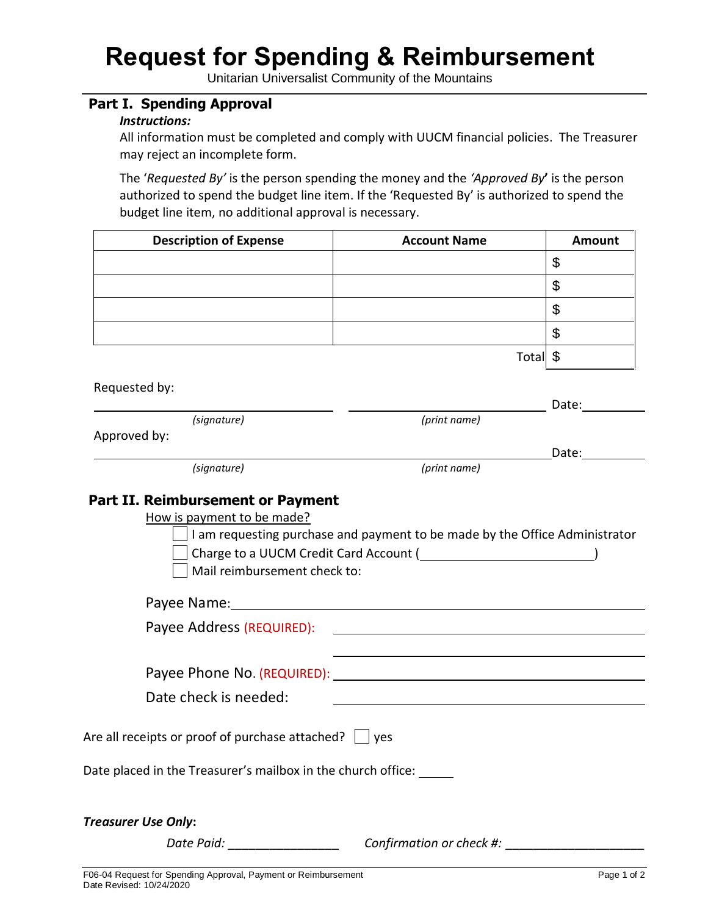## **Request for Spending & Reimbursement**

Unitarian Universalist Community of the Mountains

## **Part I. Spending Approval**

## *Instructions:*

All information must be completed and comply with UUCM financial policies. The Treasurer may reject an incomplete form.

The '*Requested By'* is the person spending the money and the *'Approved By***'** is the person authorized to spend the budget line item. If the 'Requested By' is authorized to spend the budget line item, no additional approval is necessary.

| <b>Description of Expense</b>                                | <b>Account Name</b>                                                                                                                                                                                                            | <b>Amount</b> |
|--------------------------------------------------------------|--------------------------------------------------------------------------------------------------------------------------------------------------------------------------------------------------------------------------------|---------------|
|                                                              |                                                                                                                                                                                                                                | \$            |
|                                                              |                                                                                                                                                                                                                                | \$            |
|                                                              |                                                                                                                                                                                                                                | \$            |
|                                                              |                                                                                                                                                                                                                                | \$            |
|                                                              | Total \$                                                                                                                                                                                                                       |               |
| Requested by:                                                |                                                                                                                                                                                                                                |               |
|                                                              |                                                                                                                                                                                                                                | Date:         |
| (signature)                                                  | (print name)                                                                                                                                                                                                                   |               |
| Approved by:                                                 |                                                                                                                                                                                                                                | Date:         |
| (signature)                                                  | (print name)                                                                                                                                                                                                                   |               |
| Mail reimbursement check to:                                 |                                                                                                                                                                                                                                |               |
| Payee Address (REQUIRED):                                    |                                                                                                                                                                                                                                |               |
|                                                              | <u> 1989 - Jan Barnett, fransk politiker (d. 1989)</u>                                                                                                                                                                         |               |
|                                                              | Payee Phone No. (REQUIRED): Noted that the contract of the contract of the contract of the contract of the contract of the contract of the contract of the contract of the contract of the contract of the contract of the con |               |
| Date check is needed:                                        |                                                                                                                                                                                                                                |               |
|                                                              |                                                                                                                                                                                                                                |               |
| Are all receipts or proof of purchase attached? $\Box$ yes   |                                                                                                                                                                                                                                |               |
| Date placed in the Treasurer's mailbox in the church office: |                                                                                                                                                                                                                                |               |
|                                                              |                                                                                                                                                                                                                                |               |
| <b>Treasurer Use Only:</b>                                   |                                                                                                                                                                                                                                |               |

*Date Paid: \_\_\_\_\_\_\_\_\_\_\_\_\_\_\_\_ Confirmation or check #: \_\_\_\_\_\_\_\_\_\_\_\_\_\_\_\_\_\_\_\_*